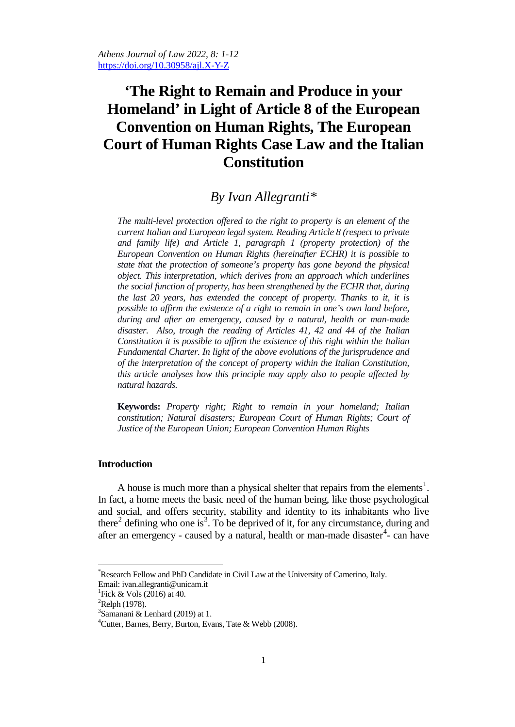# **'The Right to Remain and Produce in your Homeland' in Light of Article 8 of the European Convention on Human Rights, The European Court of Human Rights Case Law and the Italian Constitution**

# *By Ivan Allegranti[\\*](#page-0-0)*

*The multi-level protection offered to the right to property is an element of the current Italian and European legal system. Reading Article 8 (respect to private and family life) and Article 1, paragraph 1 (property protection) of the European Convention on Human Rights (hereinafter ECHR) it is possible to state that the protection of someone's property has gone beyond the physical object. This interpretation, which derives from an approach which underlines the social function of property, has been strengthened by the ECHR that, during the last 20 years, has extended the concept of property. Thanks to it, it is possible to affirm the existence of a right to remain in one's own land before, during and after an emergency, caused by a natural, health or man-made disaster. Also, trough the reading of Articles 41, 42 and 44 of the Italian Constitution it is possible to affirm the existence of this right within the Italian Fundamental Charter. In light of the above evolutions of the jurisprudence and of the interpretation of the concept of property within the Italian Constitution, this article analyses how this principle may apply also to people affected by natural hazards.* 

**Keywords:** *Property right; Right to remain in your homeland; Italian constitution; Natural disasters; European Court of Human Rights; Court of Justice of the European Union; European Convention Human Rights*

## **Introduction**

A house is much more than a physical shelter that repairs from the elements<sup>[1](#page-0-1)</sup>. In fact, a home meets the basic need of the human being, like those psychological and social, and offers security, stability and identity to its inhabitants who live there<sup>[2](#page-0-2)</sup> defining who one is<sup>[3](#page-0-3)</sup>. To be deprived of it, for any circumstance, during and after an emergency - caused by a natural, health or man-made disaster<sup>[4](#page-0-4)</sup>- can have

<span id="page-0-0"></span>\* Research Fellow and PhD Candidate in Civil Law at the University of Camerino, Italy. Email: [ivan.allegranti@unicam.it](mailto:ivan.allegranti@unicam.it) <sup>1</sup>

<span id="page-0-1"></span><sup>&</sup>lt;sup>1</sup>Fick & Vols (2016) at 40.

<span id="page-0-2"></span> ${}^{2}$ Relph (1978).

<span id="page-0-3"></span> $3$ Samanani & Lenhard (2019) at 1.

<span id="page-0-4"></span><sup>&</sup>lt;sup>4</sup> Cutter, Barnes, Berry, Burton, Evans, Tate & Webb (2008).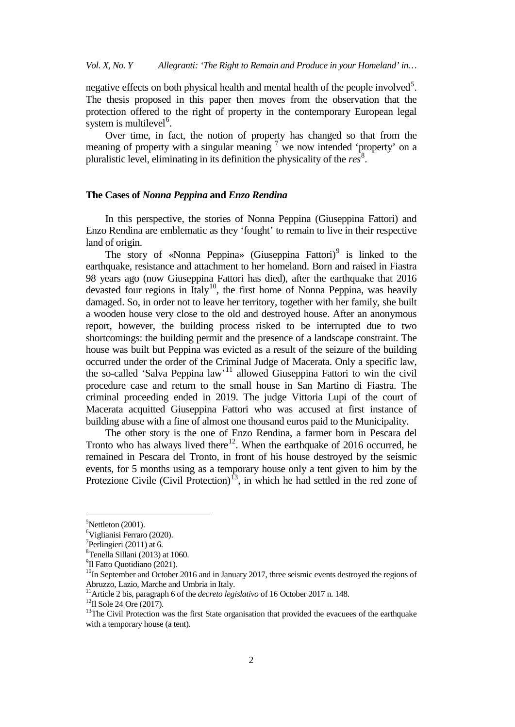negative effects on both physical health and mental health of the people involved<sup>[5](#page-1-0)</sup>. The thesis proposed in this paper then moves from the observation that the protection offered to the right of property in the contemporary European legal system is multilevel<sup>[6](#page-1-1)</sup>.

Over time, in fact, the notion of property has changed so that from the meaning of property with a singular meaning  $\frac{7}{1}$  $\frac{7}{1}$  $\frac{7}{1}$  we now intended 'property' on a pluralistic level, eliminating in its definition the physicality of the *res* [8](#page-1-3) .

#### **The Cases of** *Nonna Peppina* **and** *Enzo Rendina*

In this perspective, the stories of Nonna Peppina (Giuseppina Fattori) and Enzo Rendina are emblematic as they 'fought' to remain to live in their respective land of origin.

The story of «Nonna Peppina» (Giuseppina Fattori)<sup>[9](#page-1-4)</sup> is linked to the earthquake, resistance and attachment to her homeland. Born and raised in Fiastra 98 years ago (now Giuseppina Fattori has died), after the earthquake that 2016 devasted four regions in Italy<sup>[10](#page-1-5)</sup>, the first home of Nonna Peppina, was heavily damaged. So, in order not to leave her territory, together with her family, she built a wooden house very close to the old and destroyed house. After an anonymous report, however, the building process risked to be interrupted due to two shortcomings: the building permit and the presence of a landscape constraint. The house was built but Peppina was evicted as a result of the seizure of the building occurred under the order of the Criminal Judge of Macerata. Only a specific law, the so-called 'Salva Peppina law' [11](#page-1-6) allowed Giuseppina Fattori to win the civil procedure case and return to the small house in San Martino di Fiastra. The criminal proceeding ended in 2019. The judge Vittoria Lupi of the court of Macerata acquitted Giuseppina Fattori who was accused at first instance of building abuse with a fine of almost one thousand euros paid to the Municipality.

The other story is the one of Enzo Rendina, a farmer born in Pescara del Tronto who has always lived there<sup>12</sup>. When the earthquake of 2016 occurred, he remained in Pescara del Tronto, in front of his house destroyed by the seismic events, for 5 months using as a temporary house only a tent given to him by the Protezione Civile (Civil Protection)<sup>[13](#page-1-8)</sup>, in which he had settled in the red zone of

5  $5$ Nettleton (2001).

<span id="page-1-1"></span><span id="page-1-0"></span><sup>&</sup>lt;sup>6</sup>Viglianisi Ferraro (2020).<br><sup>7</sup>Perlingiari (2011) at 6

<span id="page-1-2"></span><sup>&</sup>lt;sup>7</sup>Perlingieri (2011) at 6.

<span id="page-1-3"></span> ${}^{8}$ Tenella Sillani (2013) at 1060.<br><sup>9</sup>Il Fatto Quotidiano (2021)

<span id="page-1-4"></span><sup>&</sup>lt;sup>9</sup>Il Fatto Quotidiano (2021).

<span id="page-1-5"></span> $10$ In September and October 2016 and in January 2017, three seismic events destroyed the regions of Abruzzo, Lazio, Marche and Umbria in Italy.<br><sup>11</sup> Article 2 bis, paragraph 6 of the *decreto legislativo* of 16 October 2017 n. 148.

<span id="page-1-6"></span>

<span id="page-1-8"></span><span id="page-1-7"></span><sup>&</sup>lt;sup>12</sup>Il Sole 24 Ore (2017).<br><sup>13</sup>The Civil Protection was the first State organisation that provided the evacuees of the earthquake with a temporary house (a tent).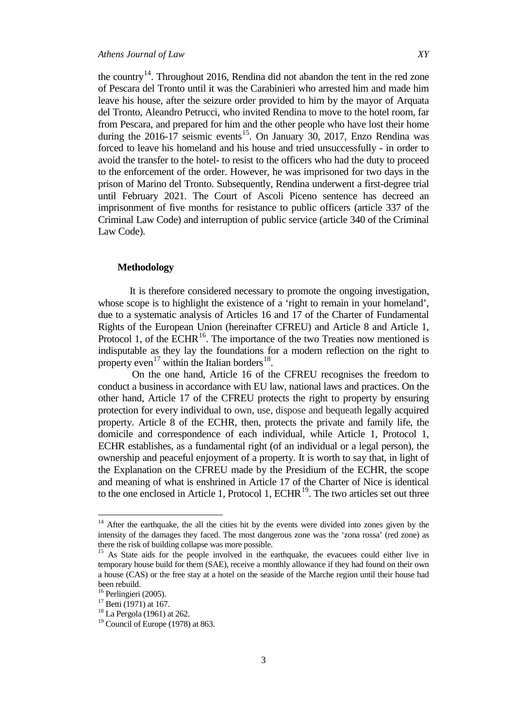the country<sup>14</sup>. Throughout 2016, Rendina did not abandon the tent in the red zone of Pescara del Tronto until it was the Carabinieri who arrested him and made him leave his house, after the seizure order provided to him by the mayor of Arquata del Tronto, Aleandro Petrucci, who invited Rendina to move to the hotel room, far from Pescara, and prepared for him and the other people who have lost their home during the  $2016-17$  seismic events<sup>[15](#page-2-1)</sup>. On January 30, 2017, Enzo Rendina was forced to leave his homeland and his house and tried unsuccessfully - in order to avoid the transfer to the hotel- to resist to the officers who had the duty to proceed to the enforcement of the order. However, he was imprisoned for two days in the prison of Marino del Tronto. Subsequently, Rendina underwent a first-degree trial until February 2021. The Court of Ascoli Piceno sentence has decreed an imprisonment of five months for resistance to public officers (article 337 of the Criminal Law Code) and interruption of public service (article 340 of the Criminal Law Code).

#### **Methodology**

It is therefore considered necessary to promote the ongoing investigation, whose scope is to highlight the existence of a 'right to remain in your homeland', due to a systematic analysis of Articles 16 and 17 of the Charter of Fundamental Rights of the European Union (hereinafter CFREU) and Article 8 and Article 1, Protocol 1, of the ECHR $<sup>16</sup>$  $<sup>16</sup>$  $<sup>16</sup>$ . The importance of the two Treaties now mentioned is</sup> indisputable as they lay the foundations for a modern reflection on the right to property even<sup>[17](#page-2-3)</sup> within the Italian borders<sup>[18](#page-2-4)</sup>.

 On the one hand, Article 16 of the CFREU recognises the freedom to conduct a business in accordance with EU law, national laws and practices. On the other hand, Article 17 of the CFREU protects the right to property by ensuring protection for every individual to own, use, dispose and bequeath legally acquired property. Article 8 of the ECHR, then, protects the private and family life, the domicile and correspondence of each individual, while Article 1, Protocol 1, ECHR establishes, as a fundamental right (of an individual or a legal person), the ownership and peaceful enjoyment of a property. It is worth to say that, in light of the Explanation on the CFREU made by the Presidium of the ECHR, the scope and meaning of what is enshrined in Article 17 of the Charter of Nice is identical to the one enclosed in Article 1, Protocol 1,  $ECHR<sup>19</sup>$  $ECHR<sup>19</sup>$  $ECHR<sup>19</sup>$ . The two articles set out three

<span id="page-2-0"></span><sup>&</sup>lt;sup>14</sup> After the earthquake, the all the cities hit by the events were divided into zones given by the intensity of the damages they faced. The most dangerous zone was the 'zona rossa' (red zone) as there the risk of building collapse was more possible.

<span id="page-2-1"></span><sup>&</sup>lt;sup>15</sup> As State aids for the people involved in the earthquake, the evacuees could either live in temporary house build for them (SAE), receive a monthly allowance if they had found on their own a house (CAS) or the free stay at a hotel on the seaside of the Marche region until their house had been rebuild.<br><sup>16</sup> Perlingieri (2005).

<span id="page-2-5"></span><span id="page-2-4"></span>

<span id="page-2-3"></span><span id="page-2-2"></span><sup>&</sup>lt;sup>17</sup> Betti (1971) at 167.<br><sup>18</sup> La Pergola (1961) at 262.<br><sup>19</sup> Council of Europe (1978) at 863.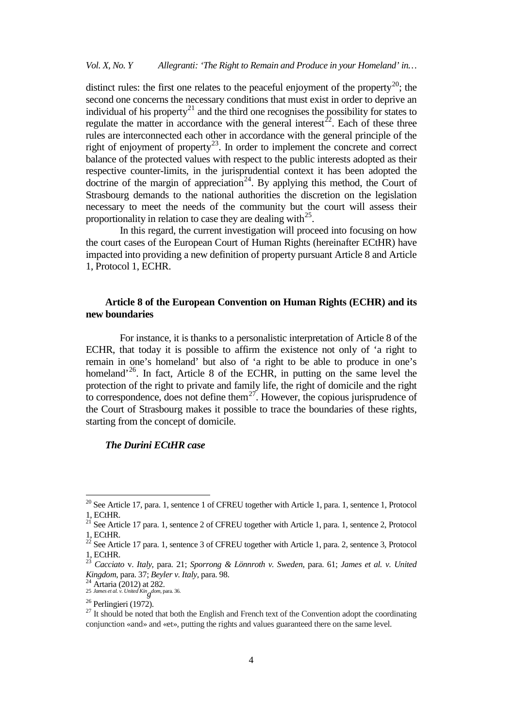distinct rules: the first one relates to the peaceful enjoyment of the property<sup>20</sup>; the second one concerns the necessary conditions that must exist in order to deprive an individual of his property<sup>[21](#page-3-1)</sup> and the third one recognises the possibility for states to regulate the matter in accordance with the general interest<sup>22</sup>. Each of these three rules are interconnected each other in accordance with the general principle of the right of enjoyment of property<sup>23</sup>. In order to implement the concrete and correct balance of the protected values with respect to the public interests adopted as their respective counter-limits, in the jurisprudential context it has been adopted the doctrine of the margin of appreciation<sup>24</sup>. By applying this method, the Court of Strasbourg demands to the national authorities the discretion on the legislation necessary to meet the needs of the community but the court will assess their proportionality in relation to case they are dealing with  $2^5$ .

In this regard, the current investigation will proceed into focusing on how the court cases of the European Court of Human Rights (hereinafter ECtHR) have impacted into providing a new definition of property pursuant Article 8 and Article 1, Protocol 1, ECHR.

# **Article 8 of the European Convention on Human Rights (ECHR) and its new boundaries**

 For instance, it is thanks to a personalistic interpretation of Article 8 of the ECHR, that today it is possible to affirm the existence not only of 'a right to remain in one's homeland' but also of 'a right to be able to produce in one's homeland<sup>2[26](#page-3-6)</sup>. In fact, Article 8 of the ECHR, in putting on the same level the protection of the right to private and family life, the right of domicile and the right to correspondence, does not define them<sup>27</sup>. However, the copious jurisprudence of the Court of Strasbourg makes it possible to trace the boundaries of these rights, starting from the concept of domicile.

# *The Durini ECtHR case*

<span id="page-3-0"></span><sup>&</sup>lt;sup>20</sup> See Article 17, para. 1, sentence 1 of CFREU together with Article 1, para. 1, sentence 1, Protocol

<span id="page-3-1"></span><sup>1,</sup> ECtHR.<br><sup>21</sup> See Article 17 para. 1, sentence 2 of CFREU together with Article 1, para. 1, sentence 2, Protocol 1, ECtHR.

<span id="page-3-2"></span> $^{22}$  See Article 17 para. 1, sentence 3 of CFREU together with Article 1, para. 2, sentence 3, Protocol 1, ECtHR. <sup>23</sup> *Cacciato* v. *Italy*, para. 21; *Sporrong & Lönnroth v. Sweden*, para. 61; *James et al. v. United* 

<span id="page-3-3"></span>*Kingdom*, para. 37; *Beyler v. Italy*, para. 98. <sup>24</sup> Artaria (2012) at 282.

<span id="page-3-4"></span>*g dom*, para. 36.

<span id="page-3-7"></span><span id="page-3-6"></span><span id="page-3-5"></span><sup>&</sup>lt;sup>26</sup> Perlingieri (1972).<br><sup>27</sup> It should be noted that both the English and French text of the Convention adopt the coordinating conjunction «and» and «et», putting the rights and values guaranteed there on the same level.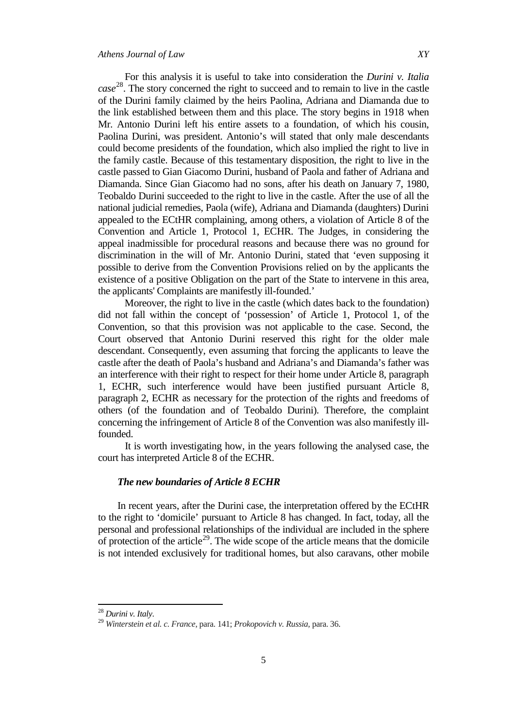For this analysis it is useful to take into consideration the *Durini v. Italia case* [28.](#page-4-0) The story concerned the right to succeed and to remain to live in the castle of the Durini family claimed by the heirs Paolina, Adriana and Diamanda due to the link established between them and this place. The story begins in 1918 when Mr. Antonio Durini left his entire assets to a foundation, of which his cousin, Paolina Durini, was president. Antonio's will stated that only male descendants could become presidents of the foundation, which also implied the right to live in the family castle. Because of this testamentary disposition, the right to live in the castle passed to Gian Giacomo Durini, husband of Paola and father of Adriana and Diamanda. Since Gian Giacomo had no sons, after his death on January 7, 1980, Teobaldo Durini succeeded to the right to live in the castle. After the use of all the national judicial remedies, Paola (wife), Adriana and Diamanda (daughters) Durini appealed to the ECtHR complaining, among others, a violation of Article 8 of the Convention and Article 1, Protocol 1, ECHR. The Judges, in considering the appeal inadmissible for procedural reasons and because there was no ground for discrimination in the will of Mr. Antonio Durini, stated that 'even supposing it possible to derive from the Convention Provisions relied on by the applicants the existence of a positive Obligation on the part of the State to intervene in this area, the applicants' Complaints are manifestly ill-founded.'

 Moreover, the right to live in the castle (which dates back to the foundation) did not fall within the concept of 'possession' of Article 1, Protocol 1, of the Convention, so that this provision was not applicable to the case. Second, the Court observed that Antonio Durini reserved this right for the older male descendant. Consequently, even assuming that forcing the applicants to leave the castle after the death of Paola's husband and Adriana's and Diamanda's father was an interference with their right to respect for their home under Article 8, paragraph 1, ECHR, such interference would have been justified pursuant Article 8, paragraph 2, ECHR as necessary for the protection of the rights and freedoms of others (of the foundation and of Teobaldo Durini). Therefore, the complaint concerning the infringement of Article 8 of the Convention was also manifestly illfounded.

 It is worth investigating how, in the years following the analysed case, the court has interpreted Article 8 of the ECHR.

## *The new boundaries of Article 8 ECHR*

In recent years, after the Durini case, the interpretation offered by the ECtHR to the right to 'domicile' pursuant to Article 8 has changed. In fact, today, all the personal and professional relationships of the individual are included in the sphere of protection of the article<sup>29</sup>. The wide scope of the article means that the domicile is not intended exclusively for traditional homes, but also caravans, other mobile

<span id="page-4-1"></span>

<span id="page-4-0"></span><sup>28</sup> *Durini v. Italy*. <sup>29</sup> *Winterstein et al. c. France*, para. 141; *Prokopovich v. Russia*, para. 36.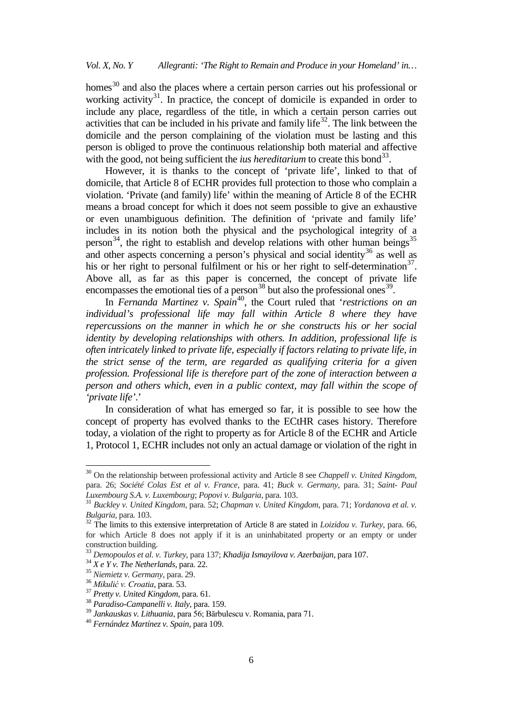homes<sup>[30](#page-5-0)</sup> and also the places where a certain person carries out his professional or working activity<sup>31</sup>. In practice, the concept of domicile is expanded in order to include any place, regardless of the title, in which a certain person carries out activities that can be included in his private and family life<sup>32</sup>. The link between the domicile and the person complaining of the violation must be lasting and this person is obliged to prove the continuous relationship both material and affective with the good, not being sufficient the *ius hereditarium* to create this bond<sup>33</sup>.

However, it is thanks to the concept of 'private life', linked to that of domicile, that Article 8 of ECHR provides full protection to those who complain a violation. 'Private (and family) life' within the meaning of Article 8 of the ECHR means a broad concept for which it does not seem possible to give an exhaustive or even unambiguous definition. The definition of 'private and family life' includes in its notion both the physical and the psychological integrity of a person<sup>34</sup>, the right to establish and develop relations with other human beings<sup>[35](#page-5-5)</sup> and other aspects concerning a person's physical and social identity<sup>[36](#page-5-6)</sup> as well as his or her right to personal fulfilment or his or her right to self-determination<sup>[37](#page-5-7)</sup>. Above all, as far as this paper is concerned, the concept of private life encompasses the emotional ties of a person $^{38}$  $^{38}$  $^{38}$  but also the professional ones<sup>[39](#page-5-9)</sup>.

In *Fernanda Martinez v. Spain*<sup>40</sup>, the Court ruled that *'restrictions on an individual's professional life may fall within Article 8 where they have repercussions on the manner in which he or she constructs his or her social identity by developing relationships with others. In addition, professional life is often intricately linked to private life, especially if factors relating to private life, in the strict sense of the term, are regarded as qualifying criteria for a given profession. Professional life is therefore part of the zone of interaction between a person and others which, even in a public context, may fall within the scope of 'private life'*.'

In consideration of what has emerged so far, it is possible to see how the concept of property has evolved thanks to the ECtHR cases history. Therefore today, a violation of the right to property as for Article 8 of the ECHR and Article 1, Protocol 1, ECHR includes not only an actual damage or violation of the right in

<span id="page-5-0"></span><sup>30</sup> On the relationship between professional activity and Article 8 see *Chappell v. United Kingdom*, para. 26; *Société Colas Est et al v. France*, para. 41; *Buck v. Germany*, para. 31; *Saint- Paul* 

<span id="page-5-1"></span><sup>&</sup>lt;sup>31</sup> *Buckley v. United Kingdom*, para. 52; *Chapman v. United Kingdom*, para. 71; *Yordanova et al. v. Bulgaria*, para. 103.

<span id="page-5-2"></span><sup>&</sup>lt;sup>32</sup> The limits to this extensive interpretation of Article 8 are stated in *Loizidou v. Turkey*, para. 66, for which Article 8 does not apply if it is an uninhabitated property or an empty or under construction building.

<span id="page-5-4"></span><span id="page-5-3"></span><sup>&</sup>lt;sup>33</sup> Demopoulos et al. v. Turkey, para 137; Khadija Ismayilova v. Azerbaijan, para 107.<br><sup>34</sup> X e Y v. The Netherlands, para. 22.<br><sup>35</sup> Niemietz v. Germany, para. 29.<br><sup>36</sup> Mikulić v. Croatia, para. 53.<br><sup>37</sup> Pretty v. United

<span id="page-5-5"></span>

<span id="page-5-6"></span>

<span id="page-5-8"></span><span id="page-5-7"></span>

<span id="page-5-9"></span>

<span id="page-5-10"></span>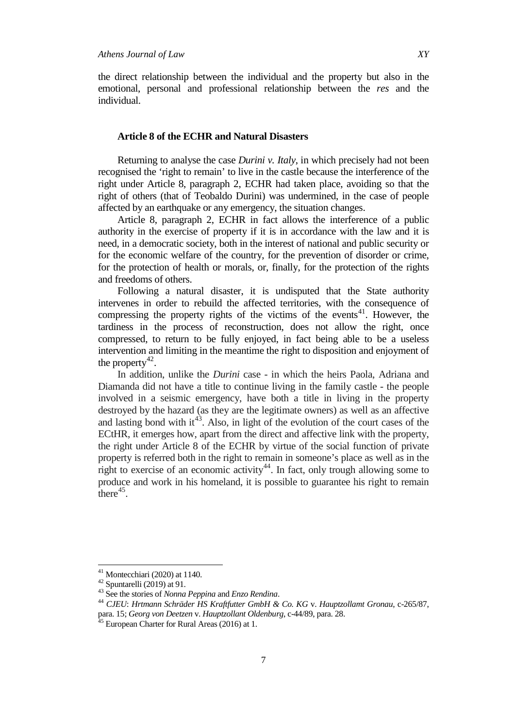#### **Article 8 of the ECHR and Natural Disasters**

Returning to analyse the case *Durini v. Italy*, in which precisely had not been recognised the 'right to remain' to live in the castle because the interference of the right under Article 8, paragraph 2, ECHR had taken place, avoiding so that the right of others (that of Teobaldo Durini) was undermined, in the case of people affected by an earthquake or any emergency, the situation changes.

Article 8, paragraph 2, ECHR in fact allows the interference of a public authority in the exercise of property if it is in accordance with the law and it is need, in a democratic society, both in the interest of national and public security or for the economic welfare of the country, for the prevention of disorder or crime, for the protection of health or morals, or, finally, for the protection of the rights and freedoms of others.

Following a natural disaster, it is undisputed that the State authority intervenes in order to rebuild the affected territories, with the consequence of compressing the property rights of the victims of the events<sup>41</sup>. However, the tardiness in the process of reconstruction, does not allow the right, once compressed, to return to be fully enjoyed, in fact being able to be a useless intervention and limiting in the meantime the right to disposition and enjoyment of the property<sup>42</sup>.

In addition, unlike the *Durini* case - in which the heirs Paola, Adriana and Diamanda did not have a title to continue living in the family castle - the people involved in a seismic emergency, have both a title in living in the property destroyed by the hazard (as they are the legitimate owners) as well as an affective and lasting bond with  $it^{43}$ . Also, in light of the evolution of the court cases of the ECtHR, it emerges how, apart from the direct and affective link with the property, the right under Article 8 of the ECHR by virtue of the social function of private property is referred both in the right to remain in someone's place as well as in the right to exercise of an economic activity<sup>44</sup>. In fact, only trough allowing some to produce and work in his homeland, it is possible to guarantee his right to remain there $45$ .

<span id="page-6-2"></span><span id="page-6-1"></span>

<span id="page-6-3"></span>

<span id="page-6-0"></span><sup>&</sup>lt;sup>41</sup> Montecchiari (2020) at 1140.<br><sup>42</sup> Spuntarelli (2019) at 91.<br><sup>43</sup> See the stories of *Nonna Peppina* and *Enzo Rendina*.<br><sup>44</sup> CJEU: Hrtmann Schräder HS Kraftfutter GmbH & Co. KG v. Hauptzollamt Gronau, c-265/87, para. 15; *Georg von Deetzen* v. *Hauptzollant Oldenburg*, c-44/89, para. 28. <sup>45</sup> European Charter for Rural Areas (2016) at 1.

<span id="page-6-4"></span>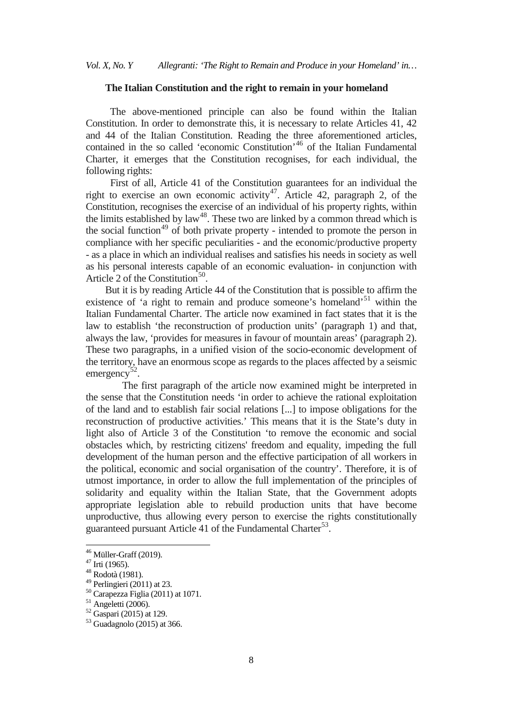#### **The Italian Constitution and the right to remain in your homeland**

 The above-mentioned principle can also be found within the Italian Constitution. In order to demonstrate this, it is necessary to relate Articles 41, 42 and 44 of the Italian Constitution. Reading the three aforementioned articles, contained in the so called 'economic Constitution' [46](#page-7-0) of the Italian Fundamental Charter, it emerges that the Constitution recognises, for each individual, the following rights:

First of all, Article 41 of the Constitution guarantees for an individual the right to exercise an own economic activity<sup>47</sup>. Article 42, paragraph 2, of the Constitution, recognises the exercise of an individual of his property rights, within the limits established by  $law<sup>48</sup>$ . These two are linked by a common thread which is the social function<sup>[49](#page-7-3)</sup> of both private property - intended to promote the person in compliance with her specific peculiarities - and the economic/productive property - as a place in which an individual realises and satisfies his needs in society as well as his personal interests capable of an economic evaluation- in conjunction with Article 2 of the Constitution<sup>[50](#page-7-4)</sup>.

But it is by reading Article 44 of the Constitution that is possible to affirm the existence of 'a right to remain and produce someone's homeland<sup>[51](#page-7-5)</sup> within the Italian Fundamental Charter. The article now examined in fact states that it is the law to establish 'the reconstruction of production units' (paragraph 1) and that, always the law, 'provides for measures in favour of mountain areas' (paragraph 2). These two paragraphs, in a unified vision of the socio-economic development of the territory, have an enormous scope as regards to the places affected by a seismic emergency<sup>52</sup>.

 The first paragraph of the article now examined might be interpreted in the sense that the Constitution needs 'in order to achieve the rational exploitation of the land and to establish fair social relations [...] to impose obligations for the reconstruction of productive activities.' This means that it is the State's duty in light also of Article 3 of the Constitution 'to remove the economic and social obstacles which, by restricting citizens' freedom and equality, impeding the full development of the human person and the effective participation of all workers in the political, economic and social organisation of the country'. Therefore, it is of utmost importance, in order to allow the full implementation of the principles of solidarity and equality within the Italian State, that the Government adopts appropriate legislation able to rebuild production units that have become unproductive, thus allowing every person to exercise the rights constitutionally guaranteed pursuant Article 41 of the Fundamental Charter<sup>[53](#page-7-7)</sup>.

<span id="page-7-1"></span><span id="page-7-0"></span><sup>&</sup>lt;sup>46</sup> Müller-Graff (2019).<br><sup>47</sup> Irti (1965).<br><sup>48</sup> Rodotà (1981).<br><sup>49</sup> Perlingieri (2011) at 23.

<span id="page-7-2"></span>

<span id="page-7-5"></span><span id="page-7-4"></span><span id="page-7-3"></span><sup>&</sup>lt;sup>50</sup> Carapezza Figlia (2011) at 1071.<br><sup>51</sup> Angeletti (2006).<br><sup>52</sup> Gaspari (2015) at 129.<br><sup>53</sup> Guadagnolo (2015) at 366.

<span id="page-7-6"></span>

<span id="page-7-7"></span>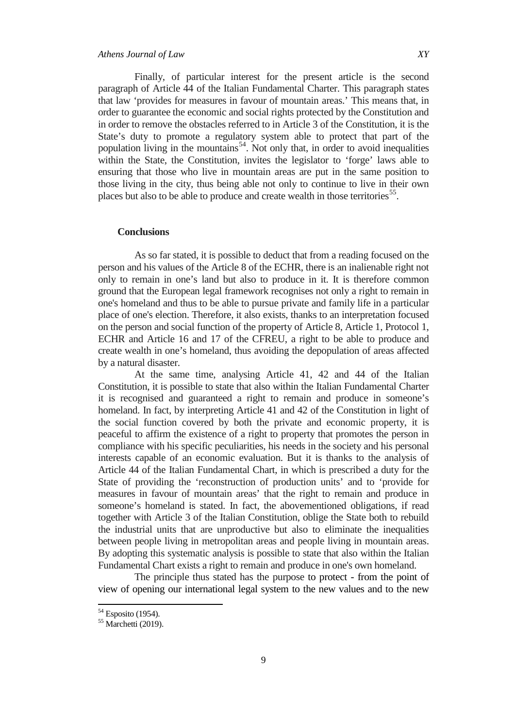Finally, of particular interest for the present article is the second paragraph of Article 44 of the Italian Fundamental Charter. This paragraph states that law 'provides for measures in favour of mountain areas.' This means that, in order to guarantee the economic and social rights protected by the Constitution and in order to remove the obstacles referred to in Article 3 of the Constitution, it is the State's duty to promote a regulatory system able to protect that part of the population living in the mountains<sup>54</sup>. Not only that, in order to avoid inequalities within the State, the Constitution, invites the legislator to 'forge' laws able to ensuring that those who live in mountain areas are put in the same position to those living in the city, thus being able not only to continue to live in their own places but also to be able to produce and create wealth in those territories<sup>[55](#page-8-1)</sup>.

# **Conclusions**

 As so far stated, it is possible to deduct that from a reading focused on the person and his values of the Article 8 of the ECHR, there is an inalienable right not only to remain in one's land but also to produce in it. It is therefore common ground that the European legal framework recognises not only a right to remain in one's homeland and thus to be able to pursue private and family life in a particular place of one's election. Therefore, it also exists, thanks to an interpretation focused on the person and social function of the property of Article 8, Article 1, Protocol 1, ECHR and Article 16 and 17 of the CFREU, a right to be able to produce and create wealth in one's homeland, thus avoiding the depopulation of areas affected by a natural disaster.

 At the same time, analysing Article 41, 42 and 44 of the Italian Constitution, it is possible to state that also within the Italian Fundamental Charter it is recognised and guaranteed a right to remain and produce in someone's homeland. In fact, by interpreting Article 41 and 42 of the Constitution in light of the social function covered by both the private and economic property, it is peaceful to affirm the existence of a right to property that promotes the person in compliance with his specific peculiarities, his needs in the society and his personal interests capable of an economic evaluation. But it is thanks to the analysis of Article 44 of the Italian Fundamental Chart, in which is prescribed a duty for the State of providing the 'reconstruction of production units' and to 'provide for measures in favour of mountain areas' that the right to remain and produce in someone's homeland is stated. In fact, the abovementioned obligations, if read together with Article 3 of the Italian Constitution, oblige the State both to rebuild the industrial units that are unproductive but also to eliminate the inequalities between people living in metropolitan areas and people living in mountain areas. By adopting this systematic analysis is possible to state that also within the Italian Fundamental Chart exists a right to remain and produce in one's own homeland.

 The principle thus stated has the purpose to protect - from the point of view of opening our international legal system to the new values and to the new

<span id="page-8-1"></span><span id="page-8-0"></span> $54$  Esposito (1954).<br> $55$  Marchetti (2019).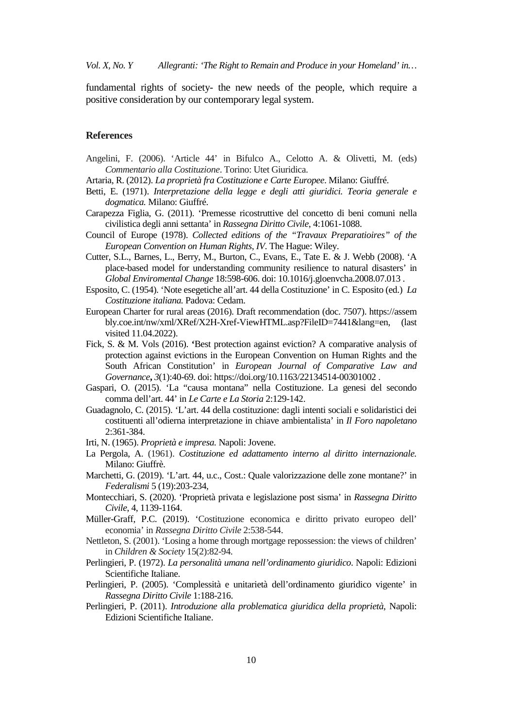*Vol. X, No. Y Allegranti: 'The Right to Remain and Produce in your Homeland' in…*

fundamental rights of society- the new needs of the people, which require a positive consideration by our contemporary legal system.

#### **References**

- Angelini, F. (2006). 'Article 44' in Bifulco A., Celotto A. & Olivetti, M. (eds) *Commentario alla Costituzione*. Torino: Utet Giuridica.
- Artaria, R. (2012). *La proprietà fra Costituzione e Carte Europee*. Milano: Giuffré.
- Betti, E. (1971). *Interpretazione della legge e degli atti giuridici. Teoria generale e dogmatica.* Milano: Giuffré.
- Carapezza Figlia, G. (2011). 'Premesse ricostruttive del concetto di beni comuni nella civilistica degli anni settanta' in *Rassegna Diritto Civile*, 4:1061-1088.
- Council of Europe (1978). *Collected editions of the "Travaux Preparatioires" of the European Convention on Human Rights*, *IV*. The Hague: Wiley.
- Cutter, S.L., Barnes, L., Berry, M., Burton, C., Evans, E., Tate E. & J. Webb (2008). 'A place-based model for understanding community resilience to natural disasters' in *Global Enviromental Change* 18:598-606. doi: 10.1016/j.gloenvcha.2008.07.013 .
- Esposito, C. (1954). 'Note esegetiche all'art. 44 della Costituzione' in C. Esposito (ed.) *La Costituzione italiana.* Padova: Cedam.
- European Charter for rural areas (2016). Draft recommendation (doc. 7507). https://assem bly.coe.int/nw/xml/XRef/X2H-Xref-ViewHTML.asp?FileID=7441&lang=en, (last visited 11.04.2022).
- Fick, S. & M. Vols (2016). **'**Best protection against eviction? A comparative analysis of protection against evictions in the European Convention on Human Rights and the South African Constitution' in *European Journal of Comparative Law and Governance***,** *3*(1):40-69. doi: https://doi.org/10.1163/22134514-00301002 .
- Gaspari, O. (2015). 'La "causa montana" nella Costituzione. La genesi del secondo comma dell'art. 44' in *Le Carte e La Storia* 2:129-142.
- Guadagnolo, C. (2015). 'L'art. 44 della costituzione: dagli intenti sociali e solidaristici dei costituenti all'odierna interpretazione in chiave ambientalista' in *Il Foro napoletano* 2:361-384.
- Irti, N. (1965). *Proprietà e impresa.* Napoli: Jovene.
- La Pergola, A. (1961). *Costituzione ed adattamento interno al diritto internazionale.* Milano: Giuffrè.
- Marchetti, G. (2019). 'L'art. 44, u.c., Cost.: Quale valorizzazione delle zone montane?' in *Federalismi* 5 (19):203-234,
- Montecchiari, S. (2020). 'Proprietà privata e legislazione post sisma' in *Rassegna Diritto Civile*, 4, 1139-1164.
- Müller-Graff, P.C. (2019). 'Costituzione economica e diritto privato europeo dell' economia' in *Rassegna Diritto Civile* 2:538-544.
- Nettleton, S. (2001). 'Losing a home through mortgage repossession: the views of children' in *Children & Society* 15(2):82-94.
- Perlingieri, P. (1972). *La personalità umana nell'ordinamento giuridico*. Napoli: Edizioni Scientifiche Italiane.
- Perlingieri, P. (2005). 'Complessità e unitarietà dell'ordinamento giuridico vigente' in *Rassegna Diritto Civile* 1:188-216.
- Perlingieri, P. (2011). *Introduzione alla problematica giuridica della proprietà*, Napoli: Edizioni Scientifiche Italiane.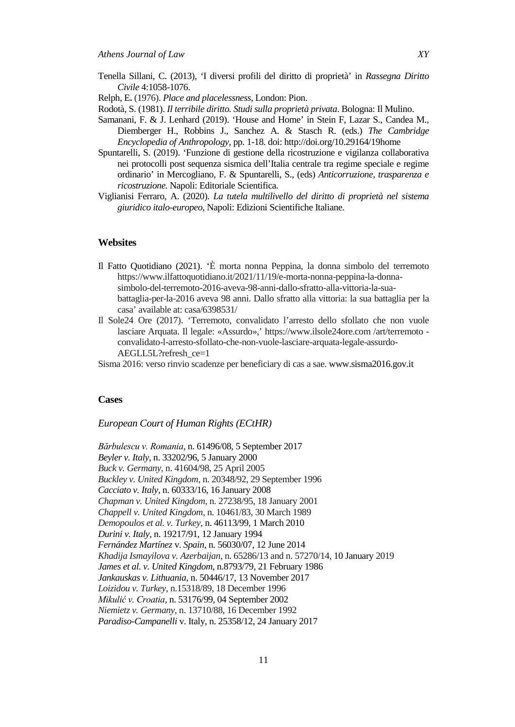- Tenella Sillani, C. (2013), 'I diversi profili del diritto di proprietà' in *Rassegna Diritto Civile* 4:1058-1076.
- Relph, E**.** (1976). *Place and placelessness*, London: Pion.
- Rodotà, S. (1981). *Il terribile diritto. Studi sulla proprietà privata*. Bologna: Il Mulino.
- Samanani, F. & J. Lenhard (2019). 'House and Home' in Stein F, Lazar S., Candea M., Diemberger H., Robbins J., Sanchez A. & Stasch R. (eds.) *The Cambridge Encyclopedia of Anthropology,* pp. 1-18. doi: http://doi.org/10.29164/19home
- Spuntarelli, S. (2019). 'Funzione di gestione della ricostruzione e vigilanza collaborativa nei protocolli post sequenza sismica dell'Italia centrale tra regime speciale e regime ordinario' in Mercogliano, F. & Spuntarelli, S., (eds) *Anticorruzione, trasparenza e ricostruzione.* Napoli: Editoriale Scientifica*.*
- Viglianisi Ferraro, A. (2020). *La tutela multilivello del diritto di proprietà nel sistema giuridico italo-europeo*, Napoli: Edizioni Scientifiche Italiane.

#### **Websites**

- Il Fatto Quotidiano (2021). 'È morta nonna Peppina, la donna simbolo del terremoto https://www.ilfattoquotidiano.it/2021/11/19/e-morta-nonna-peppina-la-donnasimbolo-del-terremoto-2016-aveva-98-anni-dallo-sfratto-alla-vittoria-la-suabattaglia-per-la-2016 aveva 98 anni. Dallo sfratto alla vittoria: la sua battaglia per la casa' available at: casa/6398531/
- Il Sole24 Ore (2017). 'Terremoto, convalidato l'arresto dello sfollato che non vuole lasciare Arquata. Il legale: «Assurdo»,' https://www.ilsole24ore.com /art/terremoto convalidato-l-arresto-sfollato-che-non-vuole-lasciare-arquata-legale-assurdo-AEGLL5L?refresh\_ce=1
- Sisma 2016: verso rinvio scadenze per beneficiary di cas a sae[. www.sisma2016.gov.it](http://www.sisma2016.gov.it/)

#### **Cases**

#### *European Court of Human Rights (ECtHR)*

*Bărbulescu v. Romania*, n. 61496/08, 5 September 2017 *Beyler v. Italy*, n. 33202/96, 5 January 2000 *Buck v. Germany*, n. 41604/98, 25 April 2005 *Buckley v. United Kingdom*, n. 20348/92, 29 September 1996 *Cacciato v. Italy*, n. 60333/16, 16 January 2008 *Chapman v. United Kingdom*, n. 27238/95, 18 January 2001 *Chappell v. United Kingdom*, n. 10461/83, 30 March 1989 *Demopoulos et al. v. Turkey*, n. 46113/99, 1 March 2010 *Durini v. Italy*, n. 19217/91, 12 January 1994 *Fernández Martínez* v. *Spain*, n. 56030/07, 12 June 2014 *Khadija Ismayilova v. Azerbaijan*, n. 65286/13 and n. 57270/14, 10 January 2019 *James et al. v. United Kingdom*, n.8793/79, 21 February 1986 *Jankauskas v. Lithuania*, n. 50446/17, 13 November 2017 *Loizidou v. Turkey*, n.15318/89, 18 December 1996 *Mikulić v. Croatia*, n. 53176/99, 04 September 2002 *Niemietz v. Germany*, n. 13710/88, 16 December 1992 *Paradiso-Campanelli* v. Italy, n. 25358/12, 24 January 2017